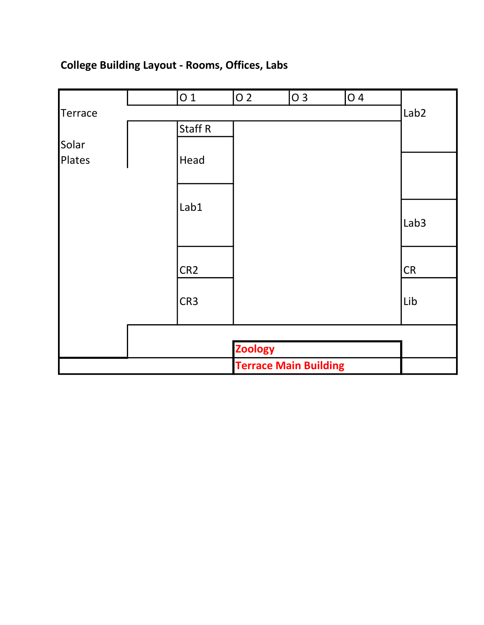## **College Building Layout - Rooms, Offices, Labs**

|         | 01              | $\overline{0}$ 2 | O 3                          | $\overline{04}$ |                  |
|---------|-----------------|------------------|------------------------------|-----------------|------------------|
| Terrace |                 |                  |                              |                 | Lab <sub>2</sub> |
|         | Staff R         |                  |                              |                 |                  |
| Solar   |                 |                  |                              |                 |                  |
| Plates  | Head            |                  |                              |                 |                  |
|         |                 |                  |                              |                 |                  |
|         | Lab1            |                  |                              |                 |                  |
|         |                 |                  |                              |                 | Lab <sub>3</sub> |
|         |                 |                  |                              |                 |                  |
|         | CR <sub>2</sub> |                  |                              |                 | CR               |
|         | CR <sub>3</sub> |                  |                              |                 | Lib              |
|         |                 |                  |                              |                 |                  |
|         |                 | <b>Zoology</b>   |                              |                 |                  |
|         |                 |                  | <b>Terrace Main Building</b> |                 |                  |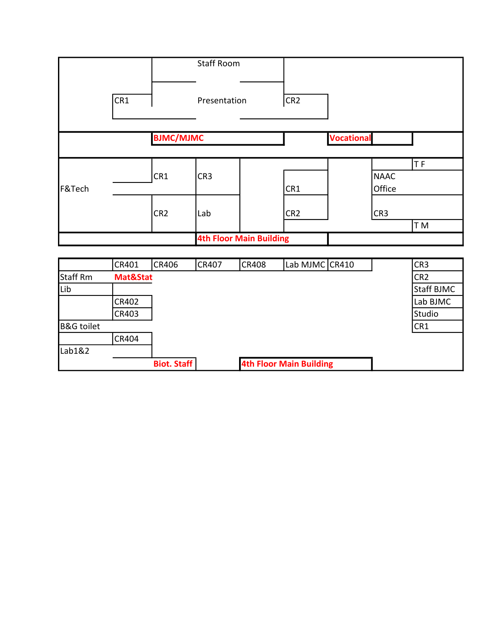|                 |          |                  | <b>Staff Room</b> |                                |                 |                   |             |                 |
|-----------------|----------|------------------|-------------------|--------------------------------|-----------------|-------------------|-------------|-----------------|
|                 | CR1      |                  | Presentation      |                                | CR <sub>2</sub> |                   |             |                 |
|                 |          | <b>BJMC/MJMC</b> |                   |                                |                 | <b>Vocational</b> |             |                 |
|                 |          |                  |                   |                                |                 |                   |             | TF              |
|                 |          | CR1              | CR <sub>3</sub>   |                                |                 |                   | <b>NAAC</b> |                 |
| F&Tech          |          |                  |                   |                                | CR1             |                   | Office      |                 |
|                 |          | CR <sub>2</sub>  | Lab               |                                | CR <sub>2</sub> |                   | CR3         |                 |
|                 |          |                  |                   |                                |                 |                   |             | T M             |
|                 |          |                  |                   | <b>4th Floor Main Building</b> |                 |                   |             |                 |
|                 |          |                  |                   |                                |                 |                   |             |                 |
|                 | CR401    | CR406            | CR407             | <b>CR408</b>                   | Lab MJMC CR410  |                   |             | CR <sub>3</sub> |
| <b>Staff Rm</b> | Mat&Stat |                  |                   |                                |                 |                   |             | CR <sub>2</sub> |
| Lib             |          |                  |                   |                                |                 |                   |             | Staff BJMC      |
|                 | CR402    |                  |                   |                                |                 |                   |             | Lab BJMC        |
|                 | CR403    |                  |                   |                                |                 |                   |             | Studio          |

B&G toilet CR1

**Biot. Staff 4th Floor Main Building**

CR404

Lab1&2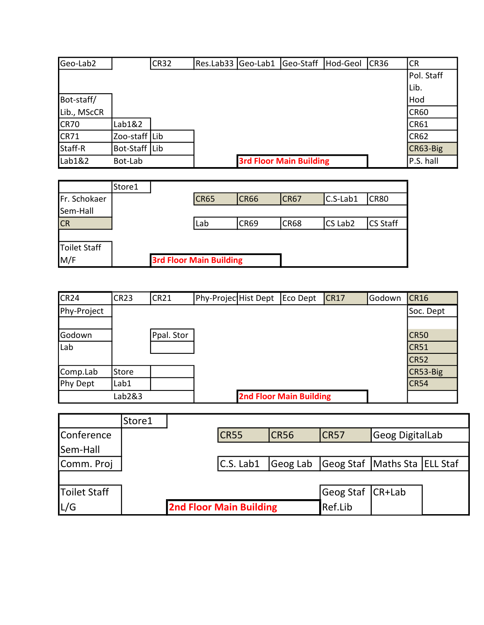| Geo-Lab2    |               | <b>CR32</b> | Res.Lab33  Geo-Lab1 | Geo-Staff                      | Hod-Geol | CR <sub>36</sub> | <b>ICR</b>  |
|-------------|---------------|-------------|---------------------|--------------------------------|----------|------------------|-------------|
|             |               |             |                     |                                |          |                  | Pol. Staff  |
|             |               |             |                     |                                |          |                  | lLib.       |
| Bot-staff/  |               |             |                     |                                |          |                  | Hod         |
| Lib., MScCR |               |             |                     |                                |          |                  | <b>CR60</b> |
| <b>CR70</b> | Lab1&2        |             |                     |                                |          |                  | <b>CR61</b> |
| <b>CR71</b> | Zoo-staff Lib |             |                     |                                |          |                  | <b>CR62</b> |
| Staff-R     | Bot-Staff Lib |             |                     |                                |          |                  | CR63-Big    |
| Lab1&2      | Bot-Lab       |             |                     | <b>3rd Floor Main Building</b> |          |                  | P.S. hall   |

|                     | Store1 |                                |             |             |                     |                 |
|---------------------|--------|--------------------------------|-------------|-------------|---------------------|-----------------|
| Fr. Schokaer        |        | <b>CR65</b>                    | <b>CR66</b> | <b>CR67</b> | C.S-Lab1            | <b>CR80</b>     |
| Sem-Hall            |        |                                |             |             |                     |                 |
| <b>CR</b>           |        | Lab                            | <b>CR69</b> | <b>CR68</b> | CS Lab <sub>2</sub> | <b>CS Staff</b> |
|                     |        |                                |             |             |                     |                 |
| <b>Toilet Staff</b> |        |                                |             |             |                     |                 |
| M/F                 |        | <b>3rd Floor Main Building</b> |             |             |                     |                 |

| CR <sub>24</sub> | <b>CR23</b> | <b>CR21</b> | Phy-Projec Hist Dept | Eco Dept                       | CR17 | Godown | CR16        |
|------------------|-------------|-------------|----------------------|--------------------------------|------|--------|-------------|
| Phy-Project      |             |             |                      |                                |      |        | Soc. Dept   |
|                  |             |             |                      |                                |      |        |             |
| Godown           |             | Ppal. Stor  |                      |                                |      |        | <b>CR50</b> |
| Lab              |             |             |                      |                                |      |        | CR51        |
|                  |             |             |                      |                                |      |        | <b>CR52</b> |
| Comp.Lab         | Store       |             |                      |                                |      |        | CR53-Big    |
| Phy Dept         | Lab1        |             |                      |                                |      |        | <b>CR54</b> |
|                  | Lab2&3      |             |                      | <b>2nd Floor Main Building</b> |      |        |             |

|              | Store1 |                                |      |                  |                                       |  |
|--------------|--------|--------------------------------|------|------------------|---------------------------------------|--|
| Conference   |        | <b>CR55</b>                    | CR56 | CR57             | Geog DigitalLab                       |  |
| Sem-Hall     |        |                                |      |                  |                                       |  |
| Comm. Proj   |        | C.S. Lab1                      |      |                  | Geog Lab Geog Staf Maths Sta ELL Staf |  |
|              |        |                                |      |                  |                                       |  |
| Toilet Staff |        |                                |      | Geog Staf CR+Lab |                                       |  |
| L/G          |        | <b>2nd Floor Main Building</b> |      | Ref.Lib          |                                       |  |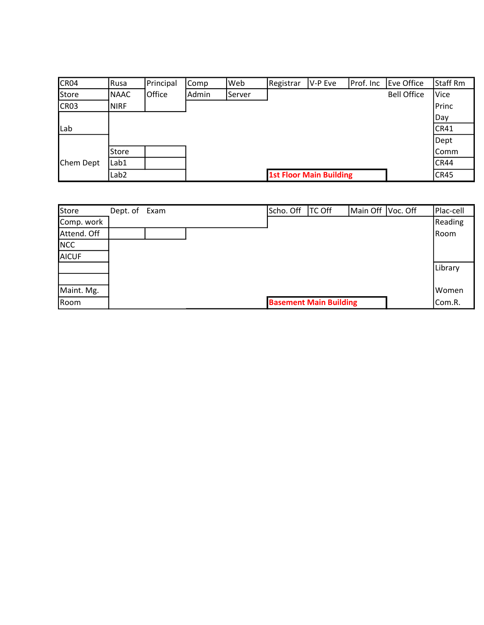| CR04        | Rusa             | Principal | Comp  | Web    | Registrar | V-P Eve                        | Prof. Inc | Eve Office         | Staff Rm    |
|-------------|------------------|-----------|-------|--------|-----------|--------------------------------|-----------|--------------------|-------------|
| Store       | <b>NAAC</b>      | Office    | Admin | Server |           |                                |           | <b>Bell Office</b> | <b>Vice</b> |
| <b>CR03</b> | <b>NIRF</b>      |           |       |        |           |                                |           |                    | Princ       |
|             |                  |           |       |        |           |                                |           |                    | Day         |
| Lab         |                  |           |       |        |           |                                |           |                    | CR41        |
|             |                  |           |       |        |           |                                |           |                    | Dept        |
|             | <b>Store</b>     |           |       |        |           |                                |           |                    | Comm        |
| Chem Dept   | Lab1             |           |       |        |           |                                |           |                    | <b>CR44</b> |
|             | Lab <sub>2</sub> |           |       |        |           | <b>1st Floor Main Building</b> |           |                    | CR45        |

| <b>Store</b> | Dept. of Exam |  | Scho. Off | <b>TC Off</b>                 | Main Off | Voc. Off | Plac-cell |
|--------------|---------------|--|-----------|-------------------------------|----------|----------|-----------|
| Comp. work   |               |  |           |                               |          |          | Reading   |
| Attend. Off  |               |  |           |                               |          |          | Room      |
| <b>NCC</b>   |               |  |           |                               |          |          |           |
| <b>AICUF</b> |               |  |           |                               |          |          |           |
|              |               |  |           |                               |          |          | Library   |
|              |               |  |           |                               |          |          |           |
| Maint. Mg.   |               |  |           |                               |          |          | Women     |
| Room         |               |  |           | <b>Basement Main Building</b> |          |          | Com.R.    |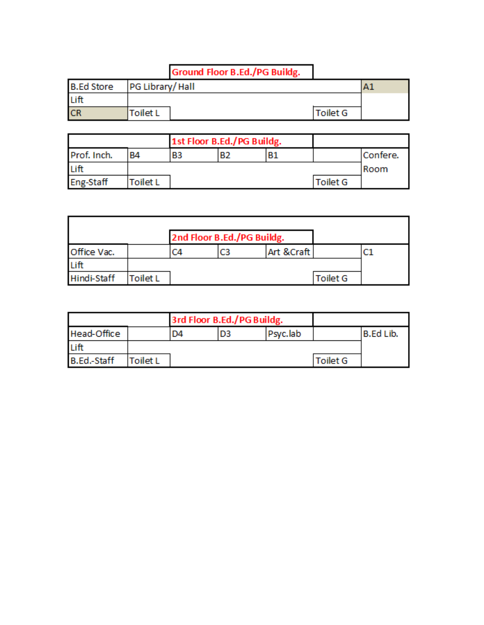## **Ground Floor B.Ed./PG Buildg.**

| <b>B.Ed Store</b> | PG Library/Hall |  |                 | Al |
|-------------------|-----------------|--|-----------------|----|
| Lift              |                 |  |                 |    |
| CR                | <b>Toilet L</b> |  | <b>Toilet G</b> |    |

| 1st Floor B.Ed./PG Buildg. |                 |    |                |    |                 |          |
|----------------------------|-----------------|----|----------------|----|-----------------|----------|
| Prof. Inch.                | <b>B4</b>       | B3 | B <sub>2</sub> | Β1 |                 | Confere. |
| Lift                       |                 |    |                |    |                 | Room     |
| <b>Eng-Staff</b>           | <b>Toilet L</b> |    |                |    | <b>Toilet G</b> |          |

|             |         | 2nd Floor B.Ed./PG Buildg. |    |            |          |  |
|-------------|---------|----------------------------|----|------------|----------|--|
| Office Vac. |         | C4                         | C3 | Art &Craft |          |  |
| Lift        |         |                            |    |            |          |  |
| Hindi-Staff | oilet L |                            |    |            | Toilet G |  |

|                    |          |    | 3rd Floor B.Ed./PG Buildg. |          |                 |           |
|--------------------|----------|----|----------------------------|----------|-----------------|-----------|
| Head-Office        |          | D4 | D3                         | Psyc.lab |                 | B.Ed Lib. |
| Lift               |          |    |                            |          |                 |           |
| <b>B.Ed.-Staff</b> | Toilet L |    |                            |          | <b>Toilet G</b> |           |